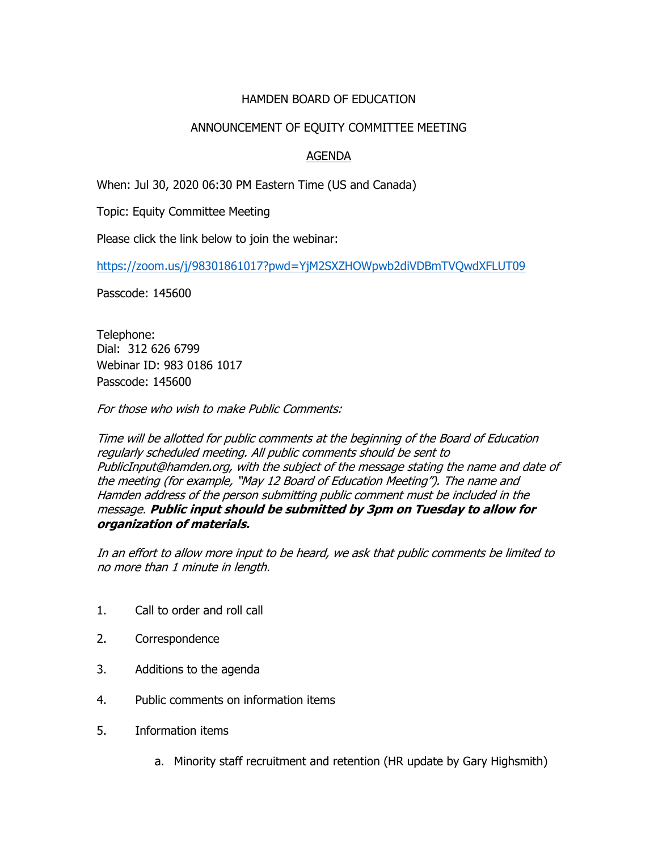## HAMDEN BOARD OF EDUCATION

## ANNOUNCEMENT OF EQUITY COMMITTEE MEETING

## AGENDA

When: Jul 30, 2020 06:30 PM Eastern Time (US and Canada)

Topic: Equity Committee Meeting

Please click the link below to join the webinar:

<https://zoom.us/j/98301861017?pwd=YjM2SXZHOWpwb2diVDBmTVQwdXFLUT09>

Passcode: 145600

Telephone: Dial: 312 626 6799 Webinar ID: 983 0186 1017 Passcode: 145600

For those who wish to make Public Comments:

Time will be allotted for public comments at the beginning of the Board of Education regularly scheduled meeting. All public comments should be sent to PublicInput@hamden.org, with the subject of the message stating the name and date of the meeting (for example, "May 12 Board of Education Meeting"). The name and Hamden address of the person submitting public comment must be included in the message. **Public input should be submitted by 3pm on Tuesday to allow for organization of materials.**

In an effort to allow more input to be heard, we ask that public comments be limited to no more than 1 minute in length.

- 1. Call to order and roll call
- 2. Correspondence
- 3. Additions to the agenda
- 4. Public comments on information items
- 5. Information items
	- a. Minority staff recruitment and retention (HR update by Gary Highsmith)